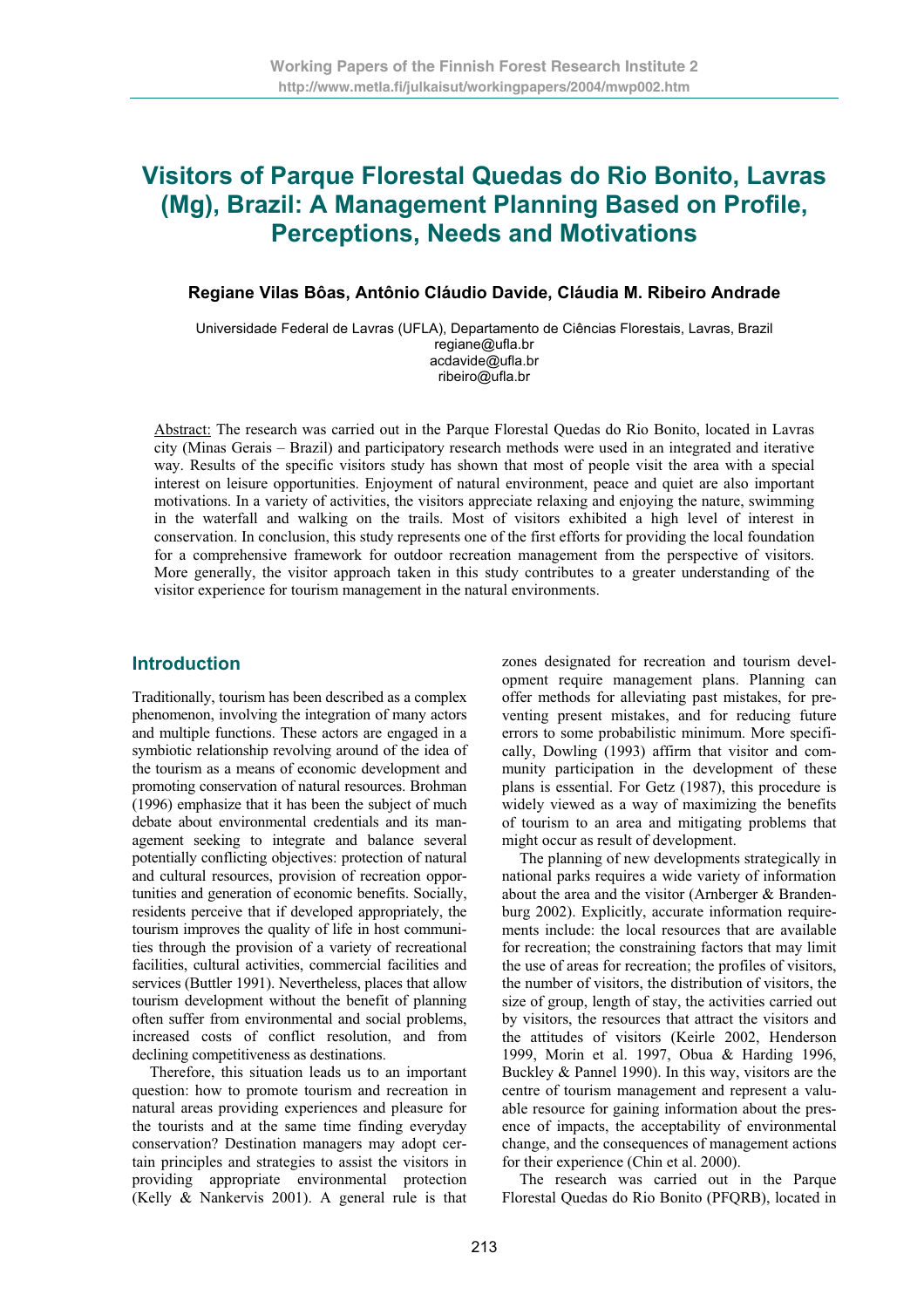# **Visitors of Parque Florestal Quedas do Rio Bonito, Lavras (Mg), Brazil: A Management Planning Based on Profile, Perceptions, Needs and Motivations**

#### **Regiane Vilas Bôas, Antônio Cláudio Davide, Cláudia M. Ribeiro Andrade**

Universidade Federal de Lavras (UFLA), Departamento de Ciências Florestais, Lavras, Brazil regiane@ufla.br acdavide@ufla.br ribeiro@ufla.br

Abstract: The research was carried out in the Parque Florestal Quedas do Rio Bonito, located in Lavras city (Minas Gerais – Brazil) and participatory research methods were used in an integrated and iterative way. Results of the specific visitors study has shown that most of people visit the area with a special interest on leisure opportunities. Enjoyment of natural environment, peace and quiet are also important motivations. In a variety of activities, the visitors appreciate relaxing and enjoying the nature, swimming in the waterfall and walking on the trails. Most of visitors exhibited a high level of interest in conservation. In conclusion, this study represents one of the first efforts for providing the local foundation for a comprehensive framework for outdoor recreation management from the perspective of visitors. More generally, the visitor approach taken in this study contributes to a greater understanding of the visitor experience for tourism management in the natural environments.

#### **Introduction**

Traditionally, tourism has been described as a complex phenomenon, involving the integration of many actors and multiple functions. These actors are engaged in a symbiotic relationship revolving around of the idea of the tourism as a means of economic development and promoting conservation of natural resources. Brohman (1996) emphasize that it has been the subject of much debate about environmental credentials and its management seeking to integrate and balance several potentially conflicting objectives: protection of natural and cultural resources, provision of recreation opportunities and generation of economic benefits. Socially, residents perceive that if developed appropriately, the tourism improves the quality of life in host communities through the provision of a variety of recreational facilities, cultural activities, commercial facilities and services (Buttler 1991). Nevertheless, places that allow tourism development without the benefit of planning often suffer from environmental and social problems, increased costs of conflict resolution, and from declining competitiveness as destinations.

Therefore, this situation leads us to an important question: how to promote tourism and recreation in natural areas providing experiences and pleasure for the tourists and at the same time finding everyday conservation? Destination managers may adopt certain principles and strategies to assist the visitors in providing appropriate environmental protection (Kelly & Nankervis 2001). A general rule is that

zones designated for recreation and tourism development require management plans. Planning can offer methods for alleviating past mistakes, for preventing present mistakes, and for reducing future errors to some probabilistic minimum. More specifically, Dowling (1993) affirm that visitor and community participation in the development of these plans is essential. For Getz (1987), this procedure is widely viewed as a way of maximizing the benefits of tourism to an area and mitigating problems that might occur as result of development.

The planning of new developments strategically in national parks requires a wide variety of information about the area and the visitor (Arnberger & Brandenburg 2002). Explicitly, accurate information requirements include: the local resources that are available for recreation; the constraining factors that may limit the use of areas for recreation; the profiles of visitors, the number of visitors, the distribution of visitors, the size of group, length of stay, the activities carried out by visitors, the resources that attract the visitors and the attitudes of visitors (Keirle 2002, Henderson 1999, Morin et al. 1997, Obua & Harding 1996, Buckley & Pannel 1990). In this way, visitors are the centre of tourism management and represent a valuable resource for gaining information about the presence of impacts, the acceptability of environmental change, and the consequences of management actions for their experience (Chin et al. 2000).

The research was carried out in the Parque Florestal Quedas do Rio Bonito (PFQRB), located in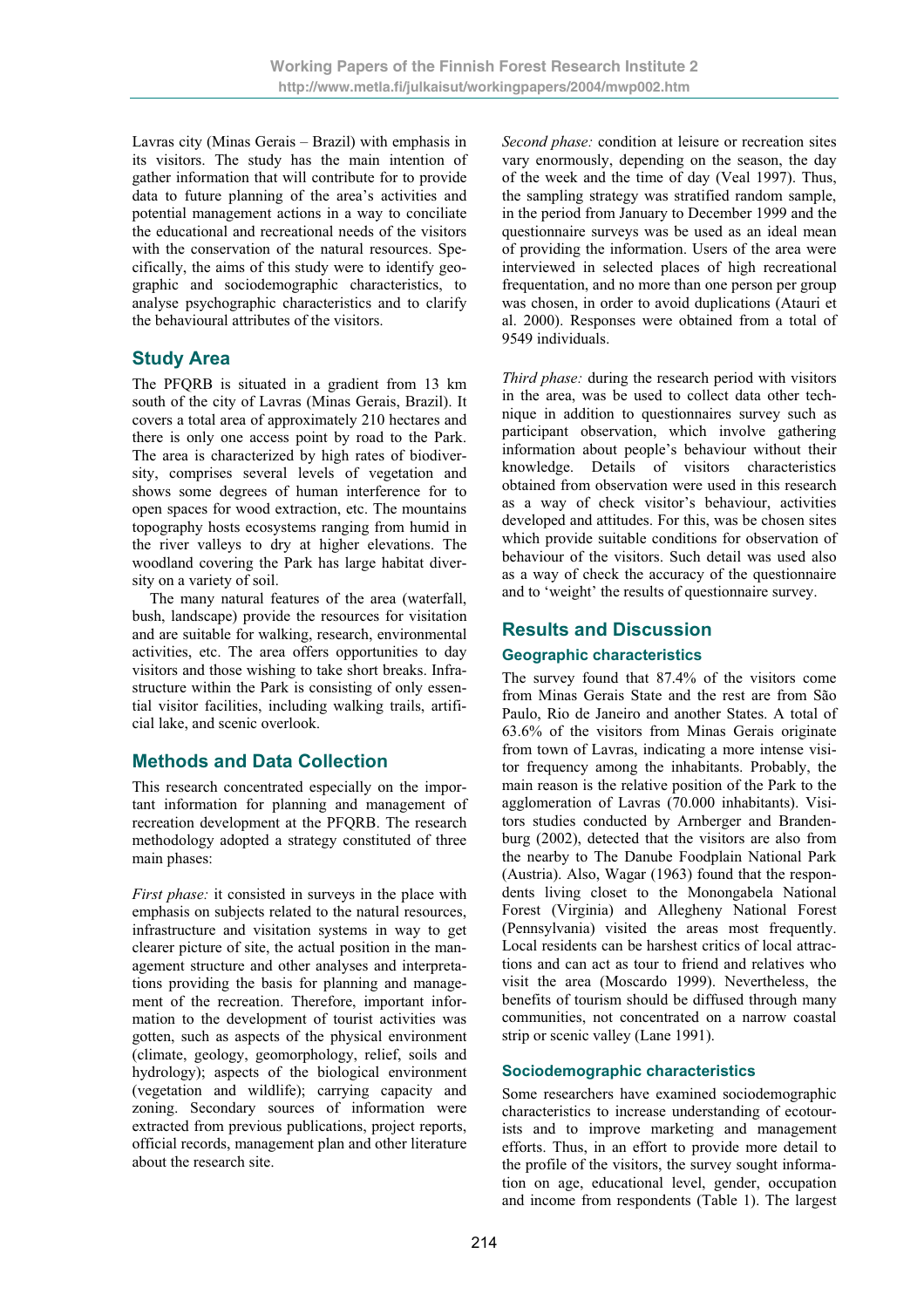Lavras city (Minas Gerais – Brazil) with emphasis in its visitors. The study has the main intention of gather information that will contribute for to provide data to future planning of the area's activities and potential management actions in a way to conciliate the educational and recreational needs of the visitors with the conservation of the natural resources. Specifically, the aims of this study were to identify geographic and sociodemographic characteristics, to analyse psychographic characteristics and to clarify the behavioural attributes of the visitors.

# **Study Area**

The PFQRB is situated in a gradient from 13 km south of the city of Lavras (Minas Gerais, Brazil). It covers a total area of approximately 210 hectares and there is only one access point by road to the Park. The area is characterized by high rates of biodiversity, comprises several levels of vegetation and shows some degrees of human interference for to open spaces for wood extraction, etc. The mountains topography hosts ecosystems ranging from humid in the river valleys to dry at higher elevations. The woodland covering the Park has large habitat diversity on a variety of soil.

The many natural features of the area (waterfall, bush, landscape) provide the resources for visitation and are suitable for walking, research, environmental activities, etc. The area offers opportunities to day visitors and those wishing to take short breaks. Infrastructure within the Park is consisting of only essential visitor facilities, including walking trails, artificial lake, and scenic overlook.

# **Methods and Data Collection**

This research concentrated especially on the important information for planning and management of recreation development at the PFQRB. The research methodology adopted a strategy constituted of three main phases:

*First phase:* it consisted in surveys in the place with emphasis on subjects related to the natural resources, infrastructure and visitation systems in way to get clearer picture of site, the actual position in the management structure and other analyses and interpretations providing the basis for planning and management of the recreation. Therefore, important information to the development of tourist activities was gotten, such as aspects of the physical environment (climate, geology, geomorphology, relief, soils and hydrology); aspects of the biological environment (vegetation and wildlife); carrying capacity and zoning. Secondary sources of information were extracted from previous publications, project reports, official records, management plan and other literature about the research site.

*Second phase:* condition at leisure or recreation sites vary enormously, depending on the season, the day of the week and the time of day (Veal 1997). Thus, the sampling strategy was stratified random sample, in the period from January to December 1999 and the questionnaire surveys was be used as an ideal mean of providing the information. Users of the area were interviewed in selected places of high recreational frequentation, and no more than one person per group was chosen, in order to avoid duplications (Atauri et al. 2000). Responses were obtained from a total of 9549 individuals.

*Third phase:* during the research period with visitors in the area, was be used to collect data other technique in addition to questionnaires survey such as participant observation, which involve gathering information about people's behaviour without their knowledge. Details of visitors characteristics obtained from observation were used in this research as a way of check visitor's behaviour, activities developed and attitudes. For this, was be chosen sites which provide suitable conditions for observation of behaviour of the visitors. Such detail was used also as a way of check the accuracy of the questionnaire and to 'weight' the results of questionnaire survey.

# **Results and Discussion**

### **Geographic characteristics**

The survey found that 87.4% of the visitors come from Minas Gerais State and the rest are from São Paulo, Rio de Janeiro and another States. A total of 63.6% of the visitors from Minas Gerais originate from town of Lavras, indicating a more intense visitor frequency among the inhabitants. Probably, the main reason is the relative position of the Park to the agglomeration of Lavras (70.000 inhabitants). Visitors studies conducted by Arnberger and Brandenburg (2002), detected that the visitors are also from the nearby to The Danube Foodplain National Park (Austria). Also, Wagar (1963) found that the respondents living closet to the Monongabela National Forest (Virginia) and Allegheny National Forest (Pennsylvania) visited the areas most frequently. Local residents can be harshest critics of local attractions and can act as tour to friend and relatives who visit the area (Moscardo 1999). Nevertheless, the benefits of tourism should be diffused through many communities, not concentrated on a narrow coastal strip or scenic valley (Lane 1991).

### **Sociodemographic characteristics**

Some researchers have examined sociodemographic characteristics to increase understanding of ecotourists and to improve marketing and management efforts. Thus, in an effort to provide more detail to the profile of the visitors, the survey sought information on age, educational level, gender, occupation and income from respondents (Table 1). The largest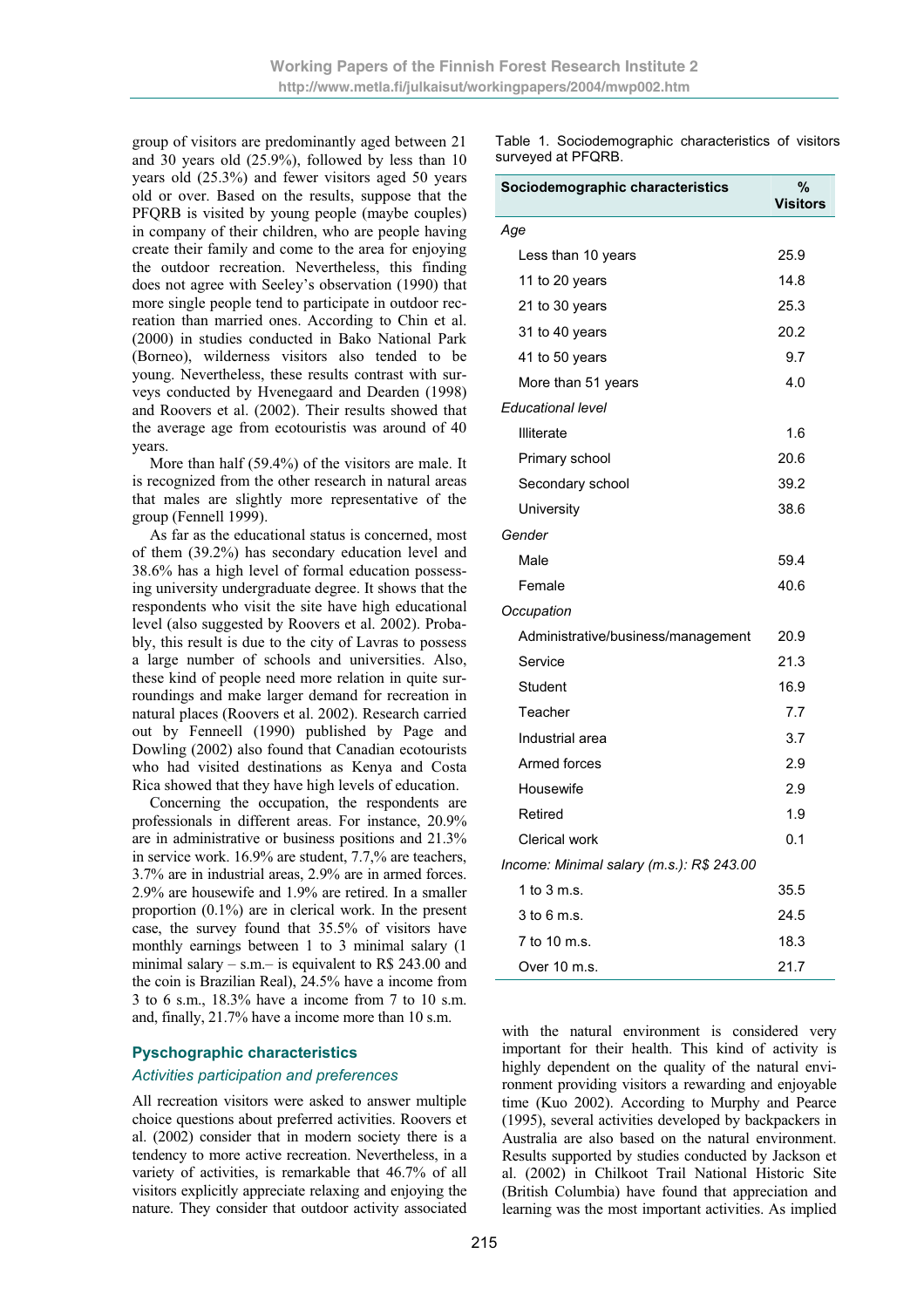group of visitors are predominantly aged between 21 and 30 years old (25.9%), followed by less than 10 years old (25.3%) and fewer visitors aged 50 years old or over. Based on the results, suppose that the PFQRB is visited by young people (maybe couples) in company of their children, who are people having create their family and come to the area for enjoying the outdoor recreation. Nevertheless, this finding does not agree with Seeley's observation (1990) that more single people tend to participate in outdoor recreation than married ones. According to Chin et al. (2000) in studies conducted in Bako National Park (Borneo), wilderness visitors also tended to be young. Nevertheless, these results contrast with surveys conducted by Hvenegaard and Dearden (1998) and Roovers et al. (2002). Their results showed that the average age from ecotouristis was around of 40 years.

More than half (59.4%) of the visitors are male. It is recognized from the other research in natural areas that males are slightly more representative of the group (Fennell 1999).

As far as the educational status is concerned, most of them (39.2%) has secondary education level and 38.6% has a high level of formal education possessing university undergraduate degree. It shows that the respondents who visit the site have high educational level (also suggested by Roovers et al. 2002). Probably, this result is due to the city of Lavras to possess a large number of schools and universities. Also, these kind of people need more relation in quite surroundings and make larger demand for recreation in natural places (Roovers et al. 2002). Research carried out by Fenneell (1990) published by Page and Dowling (2002) also found that Canadian ecotourists who had visited destinations as Kenya and Costa Rica showed that they have high levels of education.

Concerning the occupation, the respondents are professionals in different areas. For instance, 20.9% are in administrative or business positions and 21.3% in service work. 16.9% are student, 7.7,% are teachers, 3.7% are in industrial areas, 2.9% are in armed forces. 2.9% are housewife and 1.9% are retired. In a smaller proportion (0.1%) are in clerical work. In the present case, the survey found that 35.5% of visitors have monthly earnings between 1 to 3 minimal salary (1 minimal salary – s.m.– is equivalent to R\$ 243.00 and the coin is Brazilian Real), 24.5% have a income from 3 to 6 s.m., 18.3% have a income from 7 to 10 s.m. and, finally, 21.7% have a income more than 10 s.m.

#### **Pyschographic characteristics**

#### *Activities participation and preferences*

All recreation visitors were asked to answer multiple choice questions about preferred activities. Roovers et al. (2002) consider that in modern society there is a tendency to more active recreation. Nevertheless, in a variety of activities, is remarkable that 46.7% of all visitors explicitly appreciate relaxing and enjoying the nature. They consider that outdoor activity associated Table 1. Sociodemographic characteristics of visitors surveyed at PFQRB.

| Sociodemographic characteristics          | %<br><b>Visitors</b> |
|-------------------------------------------|----------------------|
| Age                                       |                      |
| Less than 10 years                        | 25.9                 |
| 11 to 20 years                            | 14.8                 |
| 21 to 30 years                            | 25.3                 |
| 31 to 40 years                            | 20.2                 |
| 41 to 50 years                            | 9.7                  |
| More than 51 years                        | 4.0                  |
| Educational level                         |                      |
| <b>Illiterate</b>                         | 1.6                  |
| Primary school                            | 20.6                 |
| Secondary school                          | 39.2                 |
| University                                | 38.6                 |
| Gender                                    |                      |
| Male                                      | 59.4                 |
| Female                                    | 40.6                 |
| Occupation                                |                      |
| Administrative/business/management        | 20.9                 |
| Service                                   | 21.3                 |
| Student                                   | 16.9                 |
| Teacher                                   | 7.7                  |
| Industrial area                           | 3.7                  |
| Armed forces                              | 2.9                  |
| Housewife                                 | 2.9                  |
| Retired                                   | 1.9                  |
| <b>Clerical work</b>                      | 0.1                  |
| Income: Minimal salary (m.s.): R\$ 243.00 |                      |
| 1 to 3 m.s.                               | 35.5                 |
| $3$ to 6 m.s.                             | 24.5                 |
| 7 to 10 m.s.                              | 18.3                 |
| Over 10 m.s.                              | 21.7                 |

with the natural environment is considered very important for their health. This kind of activity is highly dependent on the quality of the natural environment providing visitors a rewarding and enjoyable time (Kuo 2002). According to Murphy and Pearce (1995), several activities developed by backpackers in Australia are also based on the natural environment. Results supported by studies conducted by Jackson et al. (2002) in Chilkoot Trail National Historic Site (British Columbia) have found that appreciation and learning was the most important activities. As implied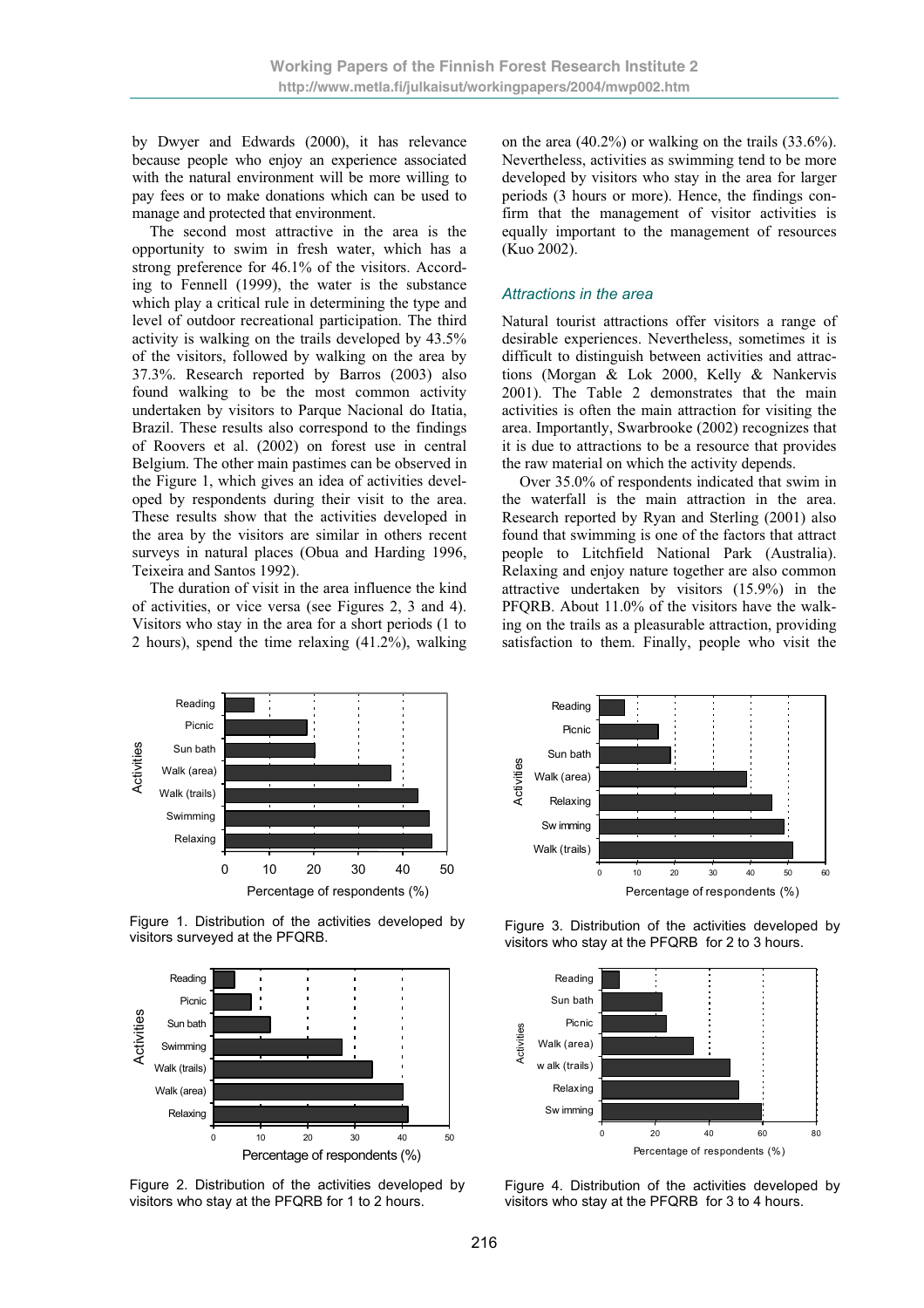by Dwyer and Edwards (2000), it has relevance because people who enjoy an experience associated with the natural environment will be more willing to pay fees or to make donations which can be used to manage and protected that environment.

The second most attractive in the area is the opportunity to swim in fresh water, which has a strong preference for 46.1% of the visitors. According to Fennell (1999), the water is the substance which play a critical rule in determining the type and level of outdoor recreational participation. The third activity is walking on the trails developed by 43.5% of the visitors, followed by walking on the area by 37.3%. Research reported by Barros (2003) also found walking to be the most common activity undertaken by visitors to Parque Nacional do Itatia, Brazil. These results also correspond to the findings of Roovers et al. (2002) on forest use in central Belgium. The other main pastimes can be observed in the Figure 1, which gives an idea of activities developed by respondents during their visit to the area. These results show that the activities developed in the area by the visitors are similar in others recent surveys in natural places (Obua and Harding 1996, Teixeira and Santos 1992).

The duration of visit in the area influence the kind of activities, or vice versa (see Figures 2, 3 and 4). Visitors who stay in the area for a short periods (1 to 2 hours), spend the time relaxing (41.2%), walking on the area (40.2%) or walking on the trails (33.6%). Nevertheless, activities as swimming tend to be more developed by visitors who stay in the area for larger periods (3 hours or more). Hence, the findings confirm that the management of visitor activities is equally important to the management of resources (Kuo 2002).

#### *Attractions in the area*

Natural tourist attractions offer visitors a range of desirable experiences. Nevertheless, sometimes it is difficult to distinguish between activities and attractions (Morgan & Lok 2000, Kelly & Nankervis 2001). The Table 2 demonstrates that the main activities is often the main attraction for visiting the area. Importantly, Swarbrooke (2002) recognizes that it is due to attractions to be a resource that provides the raw material on which the activity depends.

Over 35.0% of respondents indicated that swim in the waterfall is the main attraction in the area. Research reported by Ryan and Sterling (2001) also found that swimming is one of the factors that attract people to Litchfield National Park (Australia). Relaxing and enjoy nature together are also common attractive undertaken by visitors (15.9%) in the PFQRB. About 11.0% of the visitors have the walking on the trails as a pleasurable attraction, providing satisfaction to them. Finally, people who visit the



Figure 1. Distribution of the activities developed by visitors surveyed at the PFQRB.



Figure 2. Distribution of the activities developed by visitors who stay at the PFQRB for 1 to 2 hours.



Figure 3. Distribution of the activities developed by visitors who stay at the PFQRB for 2 to 3 hours.



Figure 4. Distribution of the activities developed by visitors who stay at the PFQRB for 3 to 4 hours.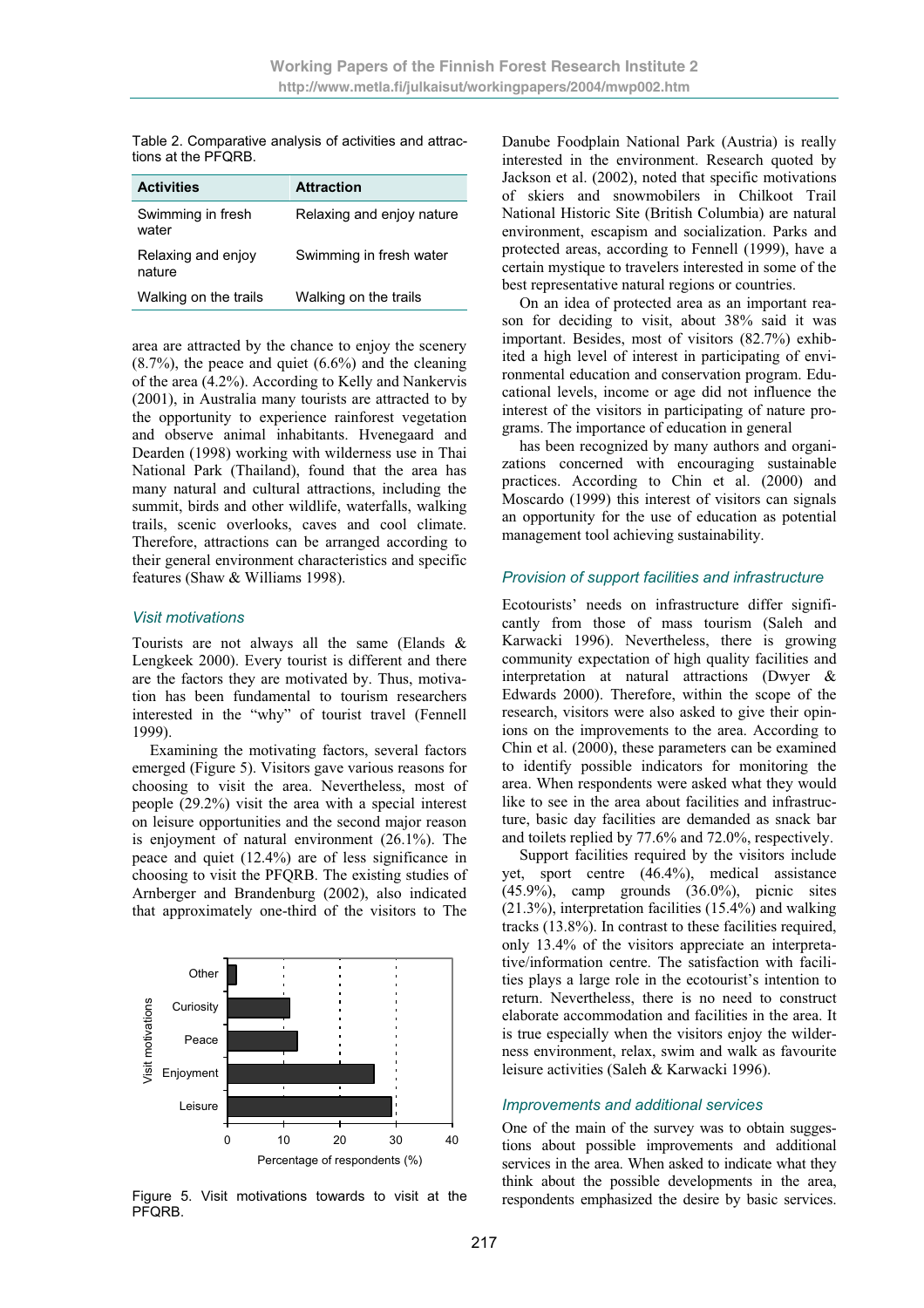Table 2. Comparative analysis of activities and attractions at the PFQRB.

| <b>Activities</b>            | <b>Attraction</b>         |
|------------------------------|---------------------------|
| Swimming in fresh<br>water   | Relaxing and enjoy nature |
| Relaxing and enjoy<br>nature | Swimming in fresh water   |
| Walking on the trails        | Walking on the trails     |

area are attracted by the chance to enjoy the scenery  $(8.7%)$ , the peace and quiet  $(6.6%)$  and the cleaning of the area (4.2%). According to Kelly and Nankervis (2001), in Australia many tourists are attracted to by the opportunity to experience rainforest vegetation and observe animal inhabitants. Hvenegaard and Dearden (1998) working with wilderness use in Thai National Park (Thailand), found that the area has many natural and cultural attractions, including the summit, birds and other wildlife, waterfalls, walking trails, scenic overlooks, caves and cool climate. Therefore, attractions can be arranged according to their general environment characteristics and specific features (Shaw & Williams 1998).

#### *Visit motivations*

Tourists are not always all the same (Elands & Lengkeek 2000). Every tourist is different and there are the factors they are motivated by. Thus, motivation has been fundamental to tourism researchers interested in the "why" of tourist travel (Fennell 1999).

Examining the motivating factors, several factors emerged (Figure 5). Visitors gave various reasons for choosing to visit the area. Nevertheless, most of people (29.2%) visit the area with a special interest on leisure opportunities and the second major reason is enjoyment of natural environment (26.1%). The peace and quiet (12.4%) are of less significance in choosing to visit the PFQRB. The existing studies of Arnberger and Brandenburg (2002), also indicated that approximately one-third of the visitors to The



Figure 5. Visit motivations towards to visit at the PFQRB.

Danube Foodplain National Park (Austria) is really interested in the environment. Research quoted by Jackson et al. (2002), noted that specific motivations of skiers and snowmobilers in Chilkoot Trail National Historic Site (British Columbia) are natural environment, escapism and socialization. Parks and protected areas, according to Fennell (1999), have a certain mystique to travelers interested in some of the best representative natural regions or countries.

On an idea of protected area as an important reason for deciding to visit, about 38% said it was important. Besides, most of visitors (82.7%) exhibited a high level of interest in participating of environmental education and conservation program. Educational levels, income or age did not influence the interest of the visitors in participating of nature programs. The importance of education in general

has been recognized by many authors and organizations concerned with encouraging sustainable practices. According to Chin et al. (2000) and Moscardo (1999) this interest of visitors can signals an opportunity for the use of education as potential management tool achieving sustainability.

#### *Provision of support facilities and infrastructure*

Ecotourists' needs on infrastructure differ significantly from those of mass tourism (Saleh and Karwacki 1996). Nevertheless, there is growing community expectation of high quality facilities and interpretation at natural attractions (Dwyer & Edwards 2000). Therefore, within the scope of the research, visitors were also asked to give their opinions on the improvements to the area. According to Chin et al. (2000), these parameters can be examined to identify possible indicators for monitoring the area. When respondents were asked what they would like to see in the area about facilities and infrastructure, basic day facilities are demanded as snack bar and toilets replied by 77.6% and 72.0%, respectively.

Support facilities required by the visitors include yet, sport centre (46.4%), medical assistance (45.9%), camp grounds (36.0%), picnic sites (21.3%), interpretation facilities (15.4%) and walking tracks (13.8%). In contrast to these facilities required, only 13.4% of the visitors appreciate an interpretative/information centre. The satisfaction with facilities plays a large role in the ecotourist's intention to return. Nevertheless, there is no need to construct elaborate accommodation and facilities in the area. It is true especially when the visitors enjoy the wilderness environment, relax, swim and walk as favourite leisure activities (Saleh & Karwacki 1996).

#### *Improvements and additional services*

One of the main of the survey was to obtain suggestions about possible improvements and additional services in the area. When asked to indicate what they think about the possible developments in the area, respondents emphasized the desire by basic services.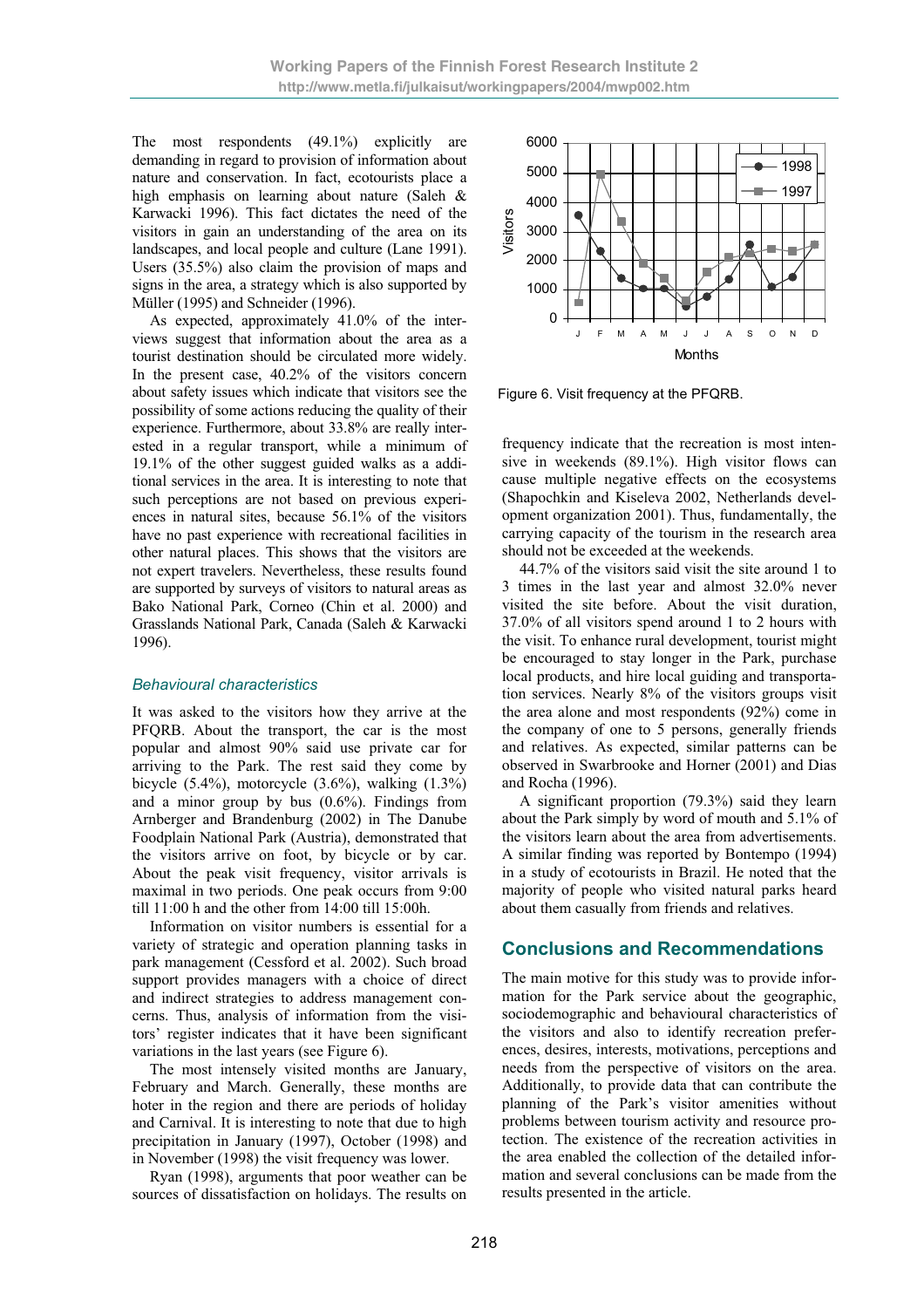The most respondents (49.1%) explicitly are demanding in regard to provision of information about nature and conservation. In fact, ecotourists place a high emphasis on learning about nature (Saleh & Karwacki 1996). This fact dictates the need of the visitors in gain an understanding of the area on its landscapes, and local people and culture (Lane 1991). Users (35.5%) also claim the provision of maps and signs in the area, a strategy which is also supported by Müller (1995) and Schneider (1996).

As expected, approximately 41.0% of the interviews suggest that information about the area as a tourist destination should be circulated more widely. In the present case, 40.2% of the visitors concern about safety issues which indicate that visitors see the possibility of some actions reducing the quality of their experience. Furthermore, about 33.8% are really interested in a regular transport, while a minimum of 19.1% of the other suggest guided walks as a additional services in the area. It is interesting to note that such perceptions are not based on previous experiences in natural sites, because 56.1% of the visitors have no past experience with recreational facilities in other natural places. This shows that the visitors are not expert travelers. Nevertheless, these results found are supported by surveys of visitors to natural areas as Bako National Park, Corneo (Chin et al. 2000) and Grasslands National Park, Canada (Saleh & Karwacki 1996).

#### *Behavioural characteristics*

It was asked to the visitors how they arrive at the PFQRB. About the transport, the car is the most popular and almost 90% said use private car for arriving to the Park. The rest said they come by bicycle  $(5.4\%)$ , motorcycle  $(3.6\%)$ , walking  $(1.3\%)$ and a minor group by bus  $(0.6\%)$ . Findings from Arnberger and Brandenburg (2002) in The Danube Foodplain National Park (Austria), demonstrated that the visitors arrive on foot, by bicycle or by car. About the peak visit frequency, visitor arrivals is maximal in two periods. One peak occurs from 9:00 till 11:00 h and the other from 14:00 till 15:00h.

Information on visitor numbers is essential for a variety of strategic and operation planning tasks in park management (Cessford et al. 2002). Such broad support provides managers with a choice of direct and indirect strategies to address management concerns. Thus, analysis of information from the visitors' register indicates that it have been significant variations in the last years (see Figure 6).

The most intensely visited months are January, February and March. Generally, these months are hoter in the region and there are periods of holiday and Carnival. It is interesting to note that due to high precipitation in January (1997), October (1998) and in November (1998) the visit frequency was lower.

Ryan (1998), arguments that poor weather can be sources of dissatisfaction on holidays. The results on



Figure 6. Visit frequency at the PFQRB.

frequency indicate that the recreation is most intensive in weekends (89.1%). High visitor flows can cause multiple negative effects on the ecosystems (Shapochkin and Kiseleva 2002, Netherlands development organization 2001). Thus, fundamentally, the carrying capacity of the tourism in the research area should not be exceeded at the weekends.

44.7% of the visitors said visit the site around 1 to 3 times in the last year and almost 32.0% never visited the site before. About the visit duration, 37.0% of all visitors spend around 1 to 2 hours with the visit. To enhance rural development, tourist might be encouraged to stay longer in the Park, purchase local products, and hire local guiding and transportation services. Nearly 8% of the visitors groups visit the area alone and most respondents (92%) come in the company of one to 5 persons, generally friends and relatives. As expected, similar patterns can be observed in Swarbrooke and Horner (2001) and Dias and Rocha (1996).

A significant proportion (79.3%) said they learn about the Park simply by word of mouth and 5.1% of the visitors learn about the area from advertisements. A similar finding was reported by Bontempo (1994) in a study of ecotourists in Brazil. He noted that the majority of people who visited natural parks heard about them casually from friends and relatives.

## **Conclusions and Recommendations**

The main motive for this study was to provide information for the Park service about the geographic, sociodemographic and behavioural characteristics of the visitors and also to identify recreation preferences, desires, interests, motivations, perceptions and needs from the perspective of visitors on the area. Additionally, to provide data that can contribute the planning of the Park's visitor amenities without problems between tourism activity and resource protection. The existence of the recreation activities in the area enabled the collection of the detailed information and several conclusions can be made from the results presented in the article.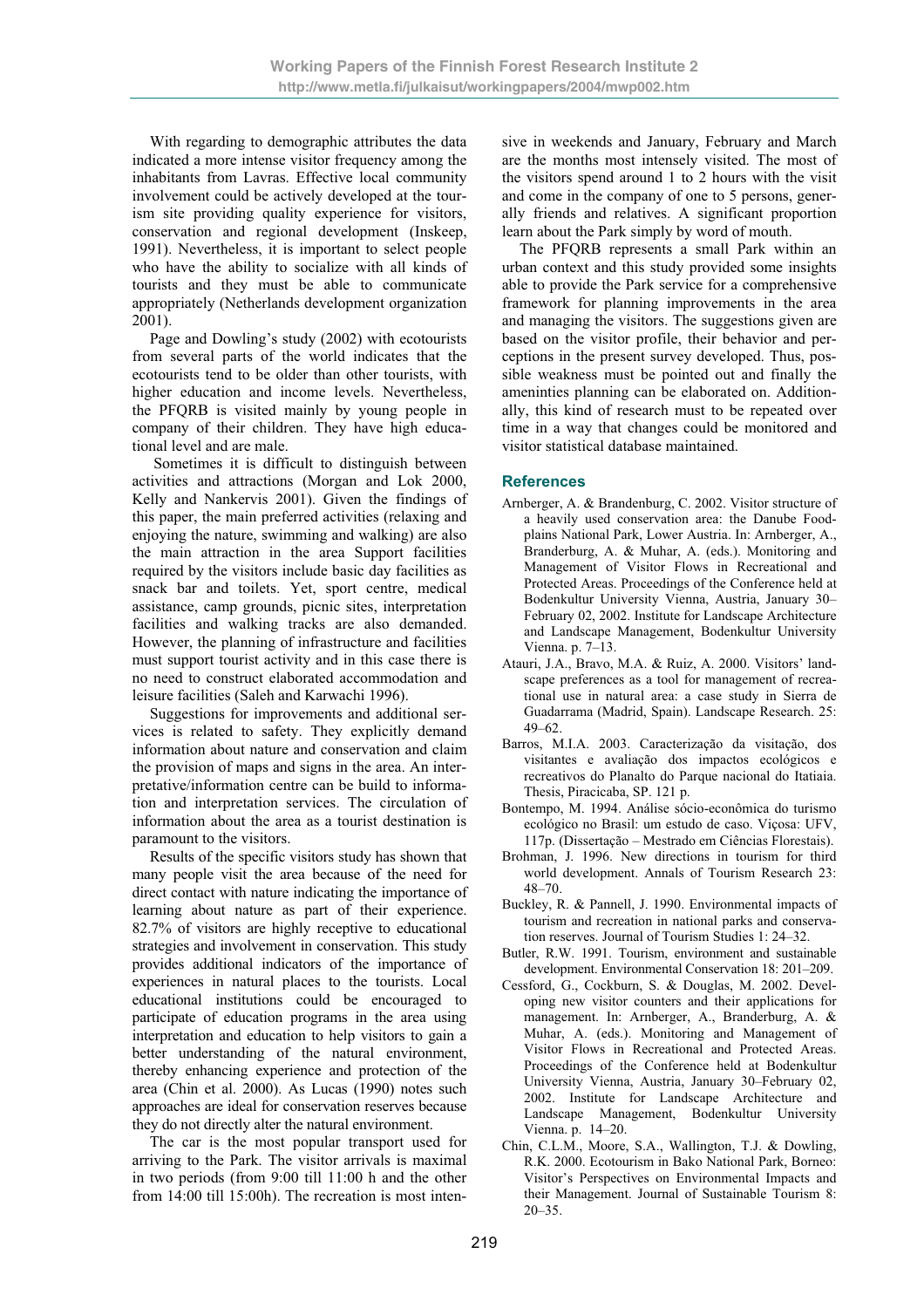With regarding to demographic attributes the data indicated a more intense visitor frequency among the inhabitants from Lavras. Effective local community involvement could be actively developed at the tourism site providing quality experience for visitors, conservation and regional development (Inskeep, 1991). Nevertheless, it is important to select people who have the ability to socialize with all kinds of tourists and they must be able to communicate appropriately (Netherlands development organization 2001).

Page and Dowling's study (2002) with ecotourists from several parts of the world indicates that the ecotourists tend to be older than other tourists, with higher education and income levels. Nevertheless, the PFQRB is visited mainly by young people in company of their children. They have high educational level and are male.

 Sometimes it is difficult to distinguish between activities and attractions (Morgan and Lok 2000, Kelly and Nankervis 2001). Given the findings of this paper, the main preferred activities (relaxing and enjoying the nature, swimming and walking) are also the main attraction in the area Support facilities required by the visitors include basic day facilities as snack bar and toilets. Yet, sport centre, medical assistance, camp grounds, picnic sites, interpretation facilities and walking tracks are also demanded. However, the planning of infrastructure and facilities must support tourist activity and in this case there is no need to construct elaborated accommodation and leisure facilities (Saleh and Karwachi 1996).

Suggestions for improvements and additional services is related to safety. They explicitly demand information about nature and conservation and claim the provision of maps and signs in the area. An interpretative/information centre can be build to information and interpretation services. The circulation of information about the area as a tourist destination is paramount to the visitors.

Results of the specific visitors study has shown that many people visit the area because of the need for direct contact with nature indicating the importance of learning about nature as part of their experience. 82.7% of visitors are highly receptive to educational strategies and involvement in conservation. This study provides additional indicators of the importance of experiences in natural places to the tourists. Local educational institutions could be encouraged to participate of education programs in the area using interpretation and education to help visitors to gain a better understanding of the natural environment, thereby enhancing experience and protection of the area (Chin et al. 2000). As Lucas (1990) notes such approaches are ideal for conservation reserves because they do not directly alter the natural environment.

The car is the most popular transport used for arriving to the Park. The visitor arrivals is maximal in two periods (from 9:00 till 11:00 h and the other from 14:00 till 15:00h). The recreation is most intensive in weekends and January, February and March are the months most intensely visited. The most of the visitors spend around 1 to 2 hours with the visit and come in the company of one to 5 persons, generally friends and relatives. A significant proportion learn about the Park simply by word of mouth.

The PFQRB represents a small Park within an urban context and this study provided some insights able to provide the Park service for a comprehensive framework for planning improvements in the area and managing the visitors. The suggestions given are based on the visitor profile, their behavior and perceptions in the present survey developed. Thus, possible weakness must be pointed out and finally the ameninties planning can be elaborated on. Additionally, this kind of research must to be repeated over time in a way that changes could be monitored and visitor statistical database maintained.

#### **References**

- Arnberger, A. & Brandenburg, C. 2002. Visitor structure of a heavily used conservation area: the Danube Foodplains National Park, Lower Austria. In: Arnberger, A., Branderburg, A. & Muhar, A. (eds.). Monitoring and Management of Visitor Flows in Recreational and Protected Areas. Proceedings of the Conference held at Bodenkultur University Vienna, Austria, January 30– February 02, 2002. Institute for Landscape Architecture and Landscape Management, Bodenkultur University Vienna. p. 7–13.
- Atauri, J.A., Bravo, M.A. & Ruiz, A. 2000. Visitors' landscape preferences as a tool for management of recreational use in natural area: a case study in Sierra de Guadarrama (Madrid, Spain). Landscape Research. 25: 49–62.
- Barros, M.I.A. 2003. Caracterização da visitação, dos visitantes e avaliação dos impactos ecológicos e recreativos do Planalto do Parque nacional do Itatiaia. Thesis, Piracicaba, SP. 121 p.
- Bontempo, M. 1994. Análise sócio-econômica do turismo ecológico no Brasil: um estudo de caso. Viçosa: UFV, 117p. (Dissertação – Mestrado em Ciências Florestais).
- Brohman, J. 1996. New directions in tourism for third world development. Annals of Tourism Research 23: 48–70.
- Buckley, R. & Pannell, J. 1990. Environmental impacts of tourism and recreation in national parks and conservation reserves. Journal of Tourism Studies 1: 24–32.
- Butler, R.W. 1991. Tourism, environment and sustainable development. Environmental Conservation 18: 201–209.
- Cessford, G., Cockburn, S. & Douglas, M. 2002. Developing new visitor counters and their applications for management. In: Arnberger, A., Branderburg, A. & Muhar, A. (eds.). Monitoring and Management of Visitor Flows in Recreational and Protected Areas. Proceedings of the Conference held at Bodenkultur University Vienna, Austria, January 30–February 02, 2002. Institute for Landscape Architecture and Landscape Management, Bodenkultur University Vienna. p. 14–20.
- Chin, C.L.M., Moore, S.A., Wallington, T.J. & Dowling, R.K. 2000. Ecotourism in Bako National Park, Borneo: Visitor's Perspectives on Environmental Impacts and their Management. Journal of Sustainable Tourism 8: 20–35.